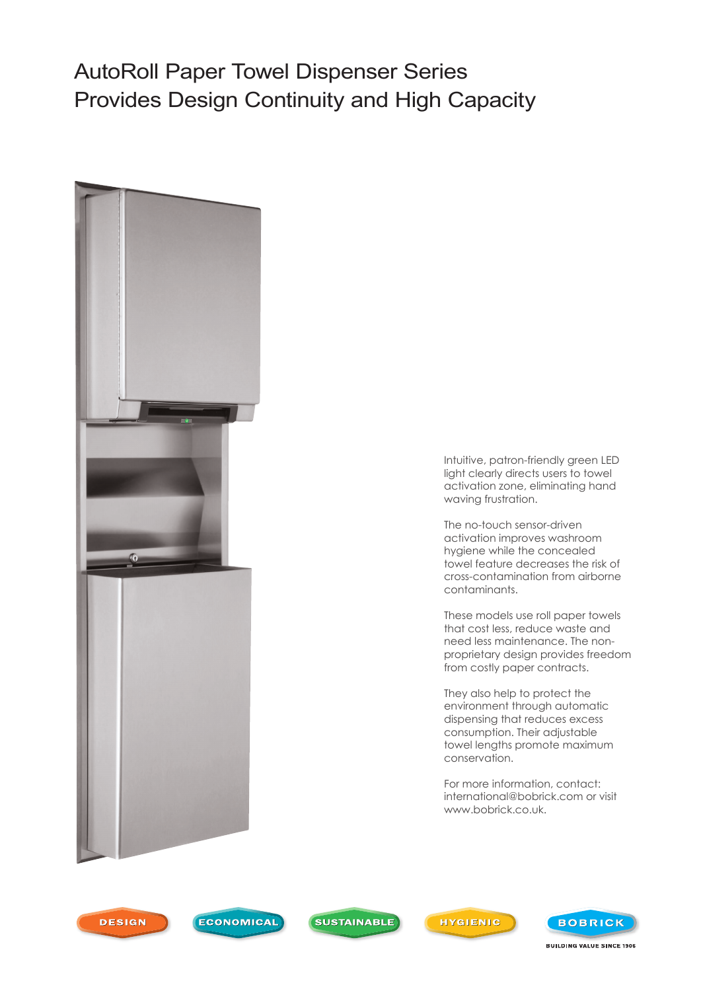## AutoRoll Paper Towel Dispenser Series Provides Design Continuity and High Capacity



Intuitive, patron-friendly green LED light clearly directs users to towel activation zone, eliminating hand waving frustration.

The no-touch sensor-driven activation improves washroom hygiene while the concealed towel feature decreases the risk of cross-contamination from airborne contaminants.

These models use roll paper towels that cost less, reduce waste and need less maintenance. The nonproprietary design provides freedom from costly paper contracts.

They also help to protect the environment through automatic dispensing that reduces excess consumption. Their adjustable towel lengths promote maximum conservation.

For more information, contact: international@bobrick.com or visit www.bobrick.co.uk.